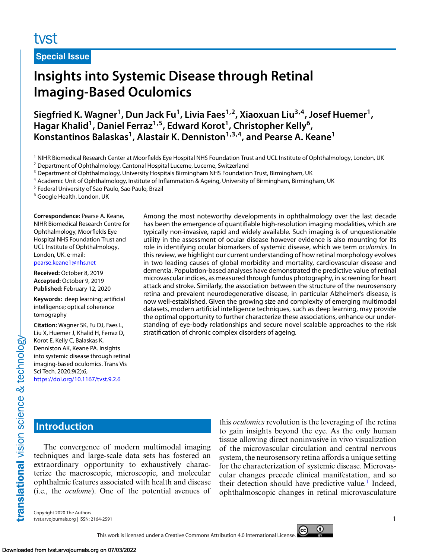## tyst

**Special Issue**

# **Insights into Systemic Disease through Retinal Imaging-Based Oculomics**

Siegfried K. Wagner<sup>1</sup>, Dun Jack Fu<sup>1</sup>, Livia Faes<sup>1,2</sup>, Xiaoxuan Liu<sup>3,4</sup>, Josef Huemer<sup>1</sup>, Hagar Khalid<sup>1</sup>, Daniel Ferraz<sup>1,5</sup>, Edward Korot<sup>1</sup>, Christopher Kelly<sup>6</sup>, Konstantinos Balaskas<sup>1</sup>, Alastair K. Denniston<sup>1,3,4</sup>, and Pearse A. Keane<sup>1</sup>

<sup>1</sup> NIHR Biomedical Research Center at Moorfields Eye Hospital NHS Foundation Trust and UCL Institute of Ophthalmology, London, UK

<sup>2</sup> Department of Ophthalmology, Cantonal Hospital Lucerne, Lucerne, Switzerland

 $3$  Department of Ophthalmology, University Hospitals Birmingham NHS Foundation Trust, Birmingham, UK

<sup>4</sup> Academic Unit of Ophthalmology, Institute of Inflammation & Ageing, University of Birmingham, Birmingham, UK

<sup>5</sup> Federal University of Sao Paulo, Sao Paulo, Brazil

<sup>6</sup> Google Health, London, UK

**Correspondence:** Pearse A. Keane, NIHR Biomedical Research Centre for Ophthalmology, Moorfields Eye Hospital NHS Foundation Trust and UCL Institute of Ophthalmology, London, UK. e-mail: <pearse.keane1@nhs.net>

**Received:** October 8, 2019 **Accepted:** October 9, 2019 **Published:** February 12, 2020

**Keywords:** deep learning; artificial intelligence; optical coherence tomography

**Citation:** Wagner SK, Fu DJ, Faes L, Liu X, Huemer J, Khalid H, Ferraz D, Korot E, Kelly C, Balaskas K, Denniston AK, Keane PA. Insights into systemic disease through retinal imaging-based oculomics. Trans Vis Sci Tech. 2020;9(2):6,

<https://doi.org/10.1167/tvst.9.2.6>

Among the most noteworthy developments in ophthalmology over the last decade has been the emergence of quantifiable high-resolution imaging modalities, which are typically non-invasive, rapid and widely available. Such imaging is of unquestionable utility in the assessment of ocular disease however evidence is also mounting for its role in identifying ocular biomarkers of systemic disease, which we term *oculomics*. In this review, we highlight our current understanding of how retinal morphology evolves in two leading causes of global morbidity and mortality, cardiovascular disease and dementia. Population-based analyses have demonstrated the predictive value of retinal microvascular indices, as measured through fundus photography, in screening for heart attack and stroke. Similarly, the association between the structure of the neurosensory retina and prevalent neurodegenerative disease, in particular Alzheimer's disease, is now well-established. Given the growing size and complexity of emerging multimodal datasets, modern artificial intelligence techniques, such as deep learning, may provide the optimal opportunity to further characterize these associations, enhance our understanding of eye-body relationships and secure novel scalable approaches to the risk stratification of chronic complex disorders of ageing.

### **Introduction**

The convergence of modern multimodal imaging techniques and large-scale data sets has fostered an extraordinary opportunity to exhaustively characterize the macroscopic, microscopic, and molecular ophthalmic features associated with health and disease (i.e., the *oculome*). One of the potential avenues of

this *oculomics* revolution is the leveraging of the retina to gain insights beyond the eye. As the only human tissue allowing direct noninvasive in vivo visualization of the microvascular circulation and central nervous system, the neurosensory retina affords a unique setting for the characterization of systemic disease. Microvascular changes precede clinical manifestation, and so their detection should have predictive value.<sup>[1](#page-7-0)</sup> Indeed, ophthalmoscopic changes in retinal microvasculature

Copyright 2020 The Authors tvst.arvojournals.org | ISSN: 2164-2591 1

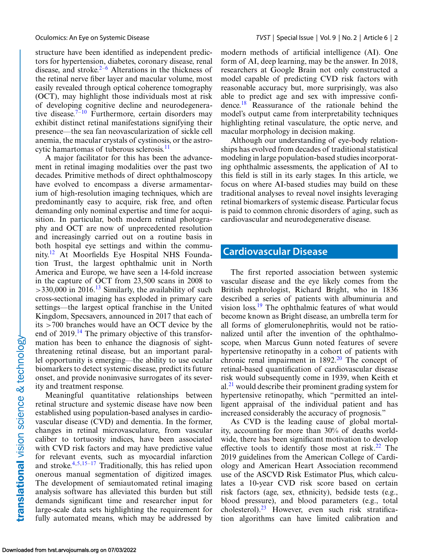structure have been identified as independent predictors for hypertension, diabetes, coronary disease, renal disease, and stroke. $2-6$  Alterations in the thickness of the retinal nerve fiber layer and macular volume, most easily revealed through optical coherence tomography (OCT), may highlight those individuals most at risk of developing cognitive decline and neurodegenera-tive disease.<sup>[7–10](#page-7-0)</sup> Furthermore, certain disorders may exhibit distinct retinal manifestations signifying their presence—the sea fan neovascularization of sickle cell anemia, the macular crystals of cystinosis, or the astro-cytic hamartomas of tuberous sclerosis.<sup>[11](#page-7-0)</sup>

A major facilitator for this has been the advancement in retinal imaging modalities over the past two decades. Primitive methods of direct ophthalmoscopy have evolved to encompass a diverse armamentarium of high-resolution imaging techniques, which are predominantly easy to acquire, risk free, and often demanding only nominal expertise and time for acquisition. In particular, both modern retinal photography and OCT are now of unprecedented resolution and increasingly carried out on a routine basis in both hospital eye settings and within the community.[12](#page-7-0) At Moorfields Eye Hospital NHS Foundation Trust, the largest ophthalmic unit in North America and Europe, we have seen a 14-fold increase in the capture of OCT from 23,500 scans in 2008 to  $>$ 330,000 in 2016.<sup>[13](#page-7-0)</sup> Similarly, the availability of such cross-sectional imaging has exploded in primary care settings—the largest optical franchise in the United Kingdom, Specsavers, announced in 2017 that each of its >700 branches would have an OCT device by the end of  $2019<sup>14</sup>$  $2019<sup>14</sup>$  $2019<sup>14</sup>$ . The primary objective of this transformation has been to enhance the diagnosis of sightthreatening retinal disease, but an important parallel opportunity is emerging—the ability to use ocular biomarkers to detect systemic disease, predict its future onset, and provide noninvasive surrogates of its severity and treatment response.

Meaningful quantitative relationships between retinal structure and systemic disease have now been established using population-based analyses in cardiovascular disease (CVD) and dementia. In the former, changes in retinal microvasculature, from vascular caliber to tortuosity indices, have been associated with CVD risk factors and may have predictive value for relevant events, such as myocardial infarction and stroke. $4,5,15-17$  Traditionally, this has relied upon onerous manual segmentation of digitized images. The development of semiautomated retinal imaging analysis software has alleviated this burden but still demands significant time and researcher input for large-scale data sets highlighting the requirement for fully automated means, which may be addressed by modern methods of artificial intelligence (AI). One form of AI, deep learning, may be the answer. In 2018, researchers at Google Brain not only constructed a model capable of predicting CVD risk factors with reasonable accuracy but, more surprisingly, was also able to predict age and sex with impressive confidence.[18](#page-7-0) Reassurance of the rationale behind the model's output came from interpretability techniques highlighting retinal vasculature, the optic nerve, and macular morphology in decision making.

Although our understanding of eye-body relationships has evolved from decades of traditional statistical modeling in large population-based studies incorporating ophthalmic assessments, the application of AI to this field is still in its early stages. In this article, we focus on where AI-based studies may build on these traditional analyses to reveal novel insights leveraging retinal biomarkers of systemic disease. Particular focus is paid to common chronic disorders of aging, such as cardiovascular and neurodegenerative disease.

### **Cardiovascular Disease**

The first reported association between systemic vascular disease and the eye likely comes from the British nephrologist, Richard Bright, who in 1836 described a series of patients with albuminuria and vision loss.[19](#page-7-0) The ophthalmic features of what would become known as Bright disease, an umbrella term for all forms of glomerulonephritis, would not be rationalized until after the invention of the ophthalmoscope, when Marcus Gunn noted features of severe hypertensive retinopathy in a cohort of patients with chronic renal impairment in  $1892<sup>20</sup>$  $1892<sup>20</sup>$  $1892<sup>20</sup>$ . The concept of retinal-based quantification of cardiovascular disease risk would subsequently come in 1939, when Keith et  $al.<sup>21</sup>$  would describe their prominent grading system for hypertensive retinopathy, which "permitted an intelligent appraisal of the individual patient and has increased considerably the accuracy of prognosis."

As CVD is the leading cause of global mortality, accounting for more than 30% of deaths worldwide, there has been significant motivation to develop effective tools to identify those most at risk.<sup>22</sup> The 2019 guidelines from the American College of Cardiology and American Heart Association recommend use of the ASCVD Risk Estimator Plus, which calculates a 10-year CVD risk score based on certain risk factors (age, sex, ethnicity), bedside tests (e.g., blood pressure), and blood parameters (e.g., total cholesterol).[23](#page-8-0) However, even such risk stratification algorithms can have limited calibration and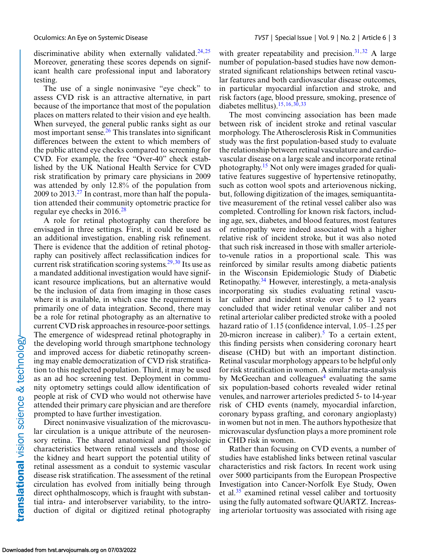discriminative ability when externally validated. $24,25$ Moreover, generating these scores depends on significant health care professional input and laboratory testing.

The use of a single noninvasive "eye check" to assess CVD risk is an attractive alternative, in part because of the importance that most of the population places on matters related to their vision and eye health. When surveyed, the general public ranks sight as our most important sense. $26$  This translates into significant differences between the extent to which members of the public attend eye checks compared to screening for CVD. For example, the free "Over-40" check established by the UK National Health Service for CVD risk stratification by primary care physicians in 2009 was attended by only 12.8% of the population from 2009 to 2013.<sup>[27](#page-8-0)</sup> In contrast, more than half the population attended their community optometric practice for regular eye checks in 2016[.28](#page-8-0)

A role for retinal photography can therefore be envisaged in three settings. First, it could be used as an additional investigation, enabling risk refinement. There is evidence that the addition of retinal photography can positively affect reclassification indices for current risk stratification scoring systems.[29,30](#page-8-0) Its use as a mandated additional investigation would have significant resource implications, but an alternative would be the inclusion of data from imaging in those cases where it is available, in which case the requirement is primarily one of data integration. Second, there may be a role for retinal photography as an alternative to current CVD risk approaches in resource-poor settings. The emergence of widespread retinal photography in the developing world through smartphone technology and improved access for diabetic retinopathy screening may enable democratization of CVD risk stratification to this neglected population. Third, it may be used as an ad hoc screening test. Deployment in community optometry settings could allow identification of people at risk of CVD who would not otherwise have attended their primary care physician and are therefore prompted to have further investigation.

Direct noninvasive visualization of the microvascular circulation is a unique attribute of the neurosensory retina. The shared anatomical and physiologic characteristics between retinal vessels and those of the kidney and heart support the potential utility of retinal assessment as a conduit to systemic vascular disease risk stratification. The assessment of the retinal circulation has evolved from initially being through direct ophthalmoscopy, which is fraught with substantial intra- and interobserver variability, to the introduction of digital or digitized retinal photography

with greater repeatability and precision.<sup>[31,32](#page-8-0)</sup> A large number of population-based studies have now demonstrated significant relationships between retinal vascular features and both cardiovascular disease outcomes, in particular myocardial infarction and stroke, and risk factors (age, blood pressure, smoking, presence of diabetes mellitus).[15,16,](#page-7-0)[30,33](#page-8-0)

The most convincing association has been made between risk of incident stroke and retinal vascular morphology. The Atherosclerosis Risk in Communities study was the first population-based study to evaluate the relationship between retinal vasculature and cardiovascular disease on a large scale and incorporate retinal photography.[15](#page-7-0) Not only were images graded for qualitative features suggestive of hypertensive retinopathy, such as cotton wool spots and arteriovenous nicking, but, following digitization of the images, semiquantitative measurement of the retinal vessel caliber also was completed. Controlling for known risk factors, including age, sex, diabetes, and blood features, most features of retinopathy were indeed associated with a higher relative risk of incident stroke, but it was also noted that such risk increased in those with smaller arterioleto-venule ratios in a proportional scale. This was reinforced by similar results among diabetic patients in the Wisconsin Epidemiologic Study of Diabetic Retinopathy.[34](#page-8-0) However, interestingly, a meta-analysis incorporating six studies evaluating retinal vascular caliber and incident stroke over 5 to 12 years concluded that wider retinal venular caliber and not retinal arteriolar caliber predicted stroke with a pooled hazard ratio of 1.15 (confidence interval, 1.05–1.25 per 20-micron increase in caliber).<sup>[5](#page-7-0)</sup> To a certain extent, this finding persists when considering coronary heart disease (CHD) but with an important distinction. Retinal vascular morphology appears to be helpful only for risk stratification in women. A similar meta-analysis by McGeechan and colleagues<sup>4</sup> evaluating the same six population-based cohorts revealed wider retinal venules, and narrower arterioles predicted 5- to 14-year risk of CHD events (namely, myocardial infarction, coronary bypass grafting, and coronary angioplasty) in women but not in men. The authors hypothesize that microvascular dysfunction plays a more prominent role in CHD risk in women.

Rather than focusing on CVD events, a number of studies have established links between retinal vascular characteristics and risk factors. In recent work using over 5000 participants from the European Prospective Investigation into Cancer-Norfolk Eye Study, Owen et al. $35$  examined retinal vessel caliber and tortuosity using the fully automated software QUARTZ. Increasing arteriolar tortuosity was associated with rising age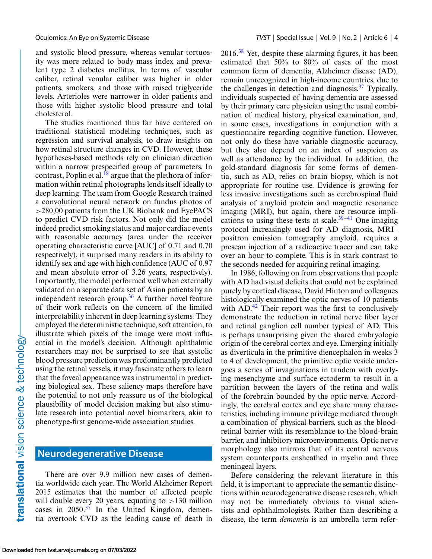and systolic blood pressure, whereas venular tortuosity was more related to body mass index and prevalent type 2 diabetes mellitus. In terms of vascular caliber, retinal venular caliber was higher in older patients, smokers, and those with raised triglyceride levels. Arterioles were narrower in older patients and those with higher systolic blood pressure and total cholesterol.

The studies mentioned thus far have centered on traditional statistical modeling techniques, such as regression and survival analysis, to draw insights on how retinal structure changes in CVD. However, these hypotheses-based methods rely on clinician direction within a narrow prespecified group of parameters. In contrast, Poplin et al.<sup>18</sup> argue that the plethora of information within retinal photographs lends itself ideally to deep learning. The team from Google Research trained a convolutional neural network on fundus photos of >280,00 patients from the UK Biobank and EyePACS to predict CVD risk factors. Not only did the model indeed predict smoking status and major cardiac events with reasonable accuracy (area under the receiver operating characteristic curve [AUC] of 0.71 and 0.70 respectively), it surprised many readers in its ability to identify sex and age with high confidence (AUC of 0.97 and mean absolute error of 3.26 years, respectively). Importantly, the model performed well when externally validated on a separate data set of Asian patients by an independent research group. $36$  A further novel feature of their work reflects on the concern of the limited interpretability inherent in deep learning systems. They employed the deterministic technique, soft attention, to illustrate which pixels of the image were most influential in the model's decision. Although ophthalmic researchers may not be surprised to see that systolic blood pressure prediction was predominantly predicted using the retinal vessels, it may fascinate others to learn that the foveal appearance was instrumental in predicting biological sex. These saliency maps therefore have the potential to not only reassure us of the biological plausibility of model decision making but also stimulate research into potential novel biomarkers, akin to phenotype-first genome-wide association studies.

### **Neurodegenerative Disease**

There are over 9.9 million new cases of dementia worldwide each year. The World Alzheimer Report 2015 estimates that the number of affected people will double every 20 years, equating to  $>130$  million cases in  $2050$ .<sup>[37](#page-8-0)</sup> In the United Kingdom, dementia overtook CVD as the leading cause of death in  $2016<sup>38</sup>$  $2016<sup>38</sup>$  $2016<sup>38</sup>$  Yet, despite these alarming figures, it has been estimated that 50% to 80% of cases of the most common form of dementia, Alzheimer disease (AD), remain unrecognized in high-income countries, due to the challenges in detection and diagnosis. $37$  Typically, individuals suspected of having dementia are assessed by their primary care physician using the usual combination of medical history, physical examination, and, in some cases, investigations in conjunction with a questionnaire regarding cognitive function. However, not only do these have variable diagnostic accuracy, but they also depend on an index of suspicion as well as attendance by the individual. In addition, the gold-standard diagnosis for some forms of dementia, such as AD, relies on brain biopsy, which is not appropriate for routine use. Evidence is growing for less invasive investigations such as cerebrospinal fluid analysis of amyloid protein and magnetic resonance imaging (MRI), but again, there are resource implications to using these tests at scale.<sup>39–41</sup> One imaging protocol increasingly used for AD diagnosis, MRI– positron emission tomography amyloid, requires a prescan injection of a radioactive tracer and can take over an hour to complete. This is in stark contrast to the seconds needed for acquiring retinal imaging.

In 1986, following on from observations that people with AD had visual deficits that could not be explained purely by cortical disease, David Hinton and colleagues histologically examined the optic nerves of 10 patients with  $AD<sup>42</sup>$  $AD<sup>42</sup>$  $AD<sup>42</sup>$  Their report was the first to conclusively demonstrate the reduction in retinal nerve fiber layer and retinal ganglion cell number typical of AD. This is perhaps unsurprising given the shared embryologic origin of the cerebral cortex and eye. Emerging initially as diverticula in the primitive diencephalon in weeks 3 to 4 of development, the primitive optic vesicle undergoes a series of invaginations in tandem with overlying mesenchyme and surface ectoderm to result in a partition between the layers of the retina and walls of the forebrain bounded by the optic nerve. Accordingly, the cerebral cortex and eye share many characteristics, including immune privilege mediated through a combination of physical barriers, such as the bloodretinal barrier with its resemblance to the blood-brain barrier, and inhibitory microenvironments. Optic nerve morphology also mirrors that of its central nervous system counterparts ensheathed in myelin and three meningeal layers.

Before considering the relevant literature in this field, it is important to appreciate the semantic distinctions within neurodegenerative disease research, which may not be immediately obvious to visual scientists and ophthalmologists. Rather than describing a disease, the term *dementia* is an umbrella term refer-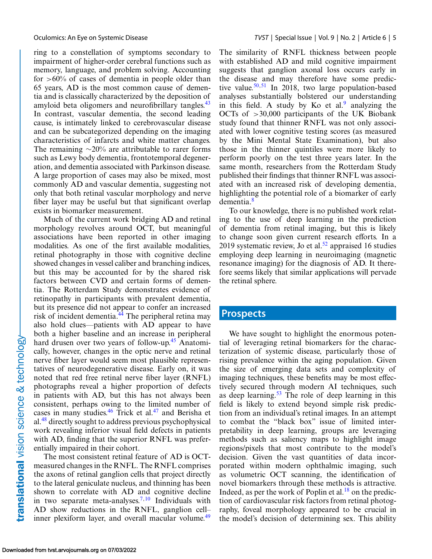ring to a constellation of symptoms secondary to impairment of higher-order cerebral functions such as memory, language, and problem solving. Accounting for  $>60\%$  of cases of dementia in people older than 65 years, AD is the most common cause of dementia and is classically characterized by the deposition of amyloid beta oligomers and neurofibrillary tangles.<sup>43</sup> In contrast, vascular dementia, the second leading cause, is intimately linked to cerebrovascular disease and can be subcategorized depending on the imaging characteristics of infarcts and white matter changes. The remaining  $\sim$ 20% are attributable to rarer forms such as Lewy body dementia, frontotemporal degeneration, and dementia associated with Parkinson disease. A large proportion of cases may also be mixed, most commonly AD and vascular dementia, suggesting not only that both retinal vascular morphology and nerve fiber layer may be useful but that significant overlap exists in biomarker measurement.

Much of the current work bridging AD and retinal morphology revolves around OCT, but meaningful associations have been reported in other imaging modalities. As one of the first available modalities, retinal photography in those with cognitive decline showed changes in vessel caliber and branching indices, but this may be accounted for by the shared risk factors between CVD and certain forms of dementia. The Rotterdam Study demonstrates evidence of retinopathy in participants with prevalent dementia, but its presence did not appear to confer an increased risk of incident dementia.<sup>[44](#page-8-0)</sup> The peripheral retina may also hold clues—patients with AD appear to have both a higher baseline and an increase in peripheral hard drusen over two years of follow-up.<sup>[45](#page-8-0)</sup> Anatomically, however, changes in the optic nerve and retinal nerve fiber layer would seem most plausible representatives of neurodegenerative disease. Early on, it was noted that red free retinal nerve fiber layer (RNFL) photographs reveal a higher proportion of defects in patients with AD, but this has not always been consistent, perhaps owing to the limited number of cases in many studies.<sup>[46](#page-9-0)</sup> Trick et al.<sup>[47](#page-9-0)</sup> and Berisha et al[.48](#page-9-0) directly sought to address previous psychophysical work revealing inferior visual field defects in patients with AD, finding that the superior RNFL was preferentially impaired in their cohort.

The most consistent retinal feature of AD is OCTmeasured changes in the RNFL. The RNFL comprises the axons of retinal ganglion cells that project directly to the lateral geniculate nucleus, and thinning has been shown to correlate with AD and cognitive decline in two separate meta-analyses.<sup>7,10</sup> Individuals with AD show reductions in the RNFL, ganglion cell– inner plexiform layer, and overall macular volume.<sup>49</sup>

The similarity of RNFL thickness between people with established AD and mild cognitive impairment suggests that ganglion axonal loss occurs early in the disease and may therefore have some predic-tive value.<sup>[50,51](#page-9-0)</sup> In 2018, two large population-based analyses substantially bolstered our understanding in this field. A study by Ko et al. $9$  analyzing the OCTs of >30,000 participants of the UK Biobank study found that thinner RNFL was not only associated with lower cognitive testing scores (as measured by the Mini Mental State Examination), but also those in the thinner quintiles were more likely to perform poorly on the test three years later. In the same month, researchers from the Rotterdam Study published their findings that thinner RNFL was associated with an increased risk of developing dementia, highlighting the potential role of a biomarker of early dementia.[8](#page-7-0)

To our knowledge, there is no published work relating to the use of deep learning in the prediction of dementia from retinal imaging, but this is likely to change soon given current research efforts. In a 2019 systematic review, Jo et al.<sup>[52](#page-9-0)</sup> appraised 16 studies employing deep learning in neuroimaging (magnetic resonance imaging) for the diagnosis of AD. It therefore seems likely that similar applications will pervade the retinal sphere.

### **Prospects**

We have sought to highlight the enormous potential of leveraging retinal biomarkers for the characterization of systemic disease, particularly those of rising prevalence within the aging population. Given the size of emerging data sets and complexity of imaging techniques, these benefits may be most effectively secured through modern AI techniques, such as deep learning.<sup>[53](#page-9-0)</sup> The role of deep learning in this field is likely to extend beyond simple risk prediction from an individual's retinal images. In an attempt to combat the "black box" issue of limited interpretability in deep learning, groups are leveraging methods such as saliency maps to highlight image regions/pixels that most contribute to the model's decision. Given the vast quantities of data incorporated within modern ophthalmic imaging, such as volumetric OCT scanning, the identification of novel biomarkers through these methods is attractive. Indeed, as per the work of Poplin et al. $18$  on the prediction of cardiovascular risk factors from retinal photography, foveal morphology appeared to be crucial in the model's decision of determining sex. This ability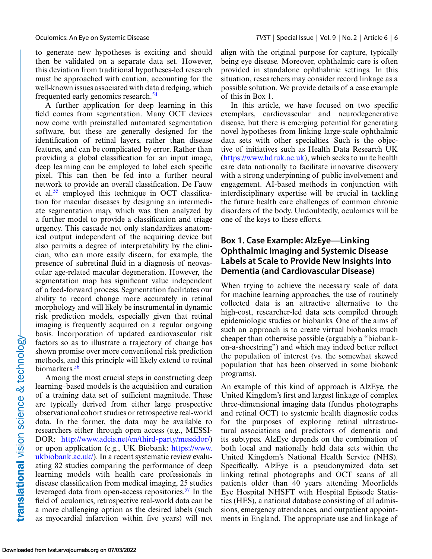to generate new hypotheses is exciting and should then be validated on a separate data set. However, this deviation from traditional hypotheses-led research must be approached with caution, accounting for the well-known issues associated with data dredging, which frequented early genomics research.<sup>[54](#page-9-0)</sup>

A further application for deep learning in this field comes from segmentation. Many OCT devices now come with preinstalled automated segmentation software, but these are generally designed for the identification of retinal layers, rather than disease features, and can be complicated by error. Rather than providing a global classification for an input image, deep learning can be employed to label each specific pixel. This can then be fed into a further neural network to provide an overall classification. De Fauw et al.<sup>[55](#page-9-0)</sup> employed this technique in OCT classification for macular diseases by designing an intermediate segmentation map, which was then analyzed by a further model to provide a classification and triage urgency. This cascade not only standardizes anatomical output independent of the acquiring device but also permits a degree of interpretability by the clinician, who can more easily discern, for example, the presence of subretinal fluid in a diagnosis of neovascular age-related macular degeneration. However, the segmentation map has significant value independent of a feed-forward process. Segmentation facilitates our ability to record change more accurately in retinal morphology and will likely be instrumental in dynamic risk prediction models, especially given that retinal imaging is frequently acquired on a regular ongoing basis. Incorporation of updated cardiovascular risk factors so as to illustrate a trajectory of change has shown promise over more conventional risk prediction methods, and this principle will likely extend to retinal biomarkers.<sup>56</sup>

Among the most crucial steps in constructing deep learning–based models is the acquisition and curation of a training data set of sufficient magnitude. These are typically derived from either large prospective observational cohort studies or retrospective real-world data. In the former, the data may be available to researchers either through open access (e.g., MESSI-DOR: [http://www.adcis.net/en/third-party/messidor/\)](http://www.adcis.net/en/third-party/messidor/) or upon application (e.g., UK Biobank: https://www. [ukbiobank.ac.uk/\). In a recent systematic review evalu](https://www.ukbiobank.ac.uk/)ating 82 studies comparing the performance of deep learning models with health care professionals in disease classification from medical imaging, 25 studies leveraged data from open-access repositories.<sup>57</sup> In the field of oculomics, retrospective real-world data can be a more challenging option as the desired labels (such as myocardial infarction within five years) will not align with the original purpose for capture, typically being eye disease. Moreover, ophthalmic care is often provided in standalone ophthalmic settings. In this situation, researchers may consider record linkage as a possible solution. We provide details of a case example of this in Box 1.

In this article, we have focused on two specific exemplars, cardiovascular and neurodegenerative disease, but there is emerging potential for generating novel hypotheses from linking large-scale ophthalmic data sets with other specialties. Such is the objective of initiatives such as Health Data Research UK [\(https://www.hdruk.ac.uk\)](https://www.hdruk.ac.uk), which seeks to unite health care data nationally to facilitate innovative discovery with a strong underpinning of public involvement and engagement. AI-based methods in conjunction with interdisciplinary expertise will be crucial in tackling the future health care challenges of common chronic disorders of the body. Undoubtedly, oculomics will be one of the keys to these efforts.

### **Box 1. Case Example: AlzEye—Linking Ophthalmic Imaging and Systemic Disease Labels at Scale to Provide New Insights into Dementia (and Cardiovascular Disease)**

When trying to achieve the necessary scale of data for machine learning approaches, the use of routinely collected data is an attractive alternative to the high-cost, researcher-led data sets compiled through epidemiologic studies or biobanks. One of the aims of such an approach is to create virtual biobanks much cheaper than otherwise possible (arguably a "biobankon-a-shoestring") and which may indeed better reflect the population of interest (vs. the somewhat skewed population that has been observed in some biobank programs).

An example of this kind of approach is AlzEye, the United Kingdom's first and largest linkage of complex three-dimensional imaging data (fundus photographs and retinal OCT) to systemic health diagnostic codes for the purposes of exploring retinal ultrastructural associations and predictors of dementia and its subtypes. AlzEye depends on the combination of both local and nationally held data sets within the United Kingdom's National Health Service (NHS). Specifically, AlzEye is a pseudonymized data set linking retinal photographs and OCT scans of all patients older than 40 years attending Moorfields Eye Hospital NHSFT with Hospital Episode Statistics (HES), a national database consisting of all admissions, emergency attendances, and outpatient appointments in England. The appropriate use and linkage of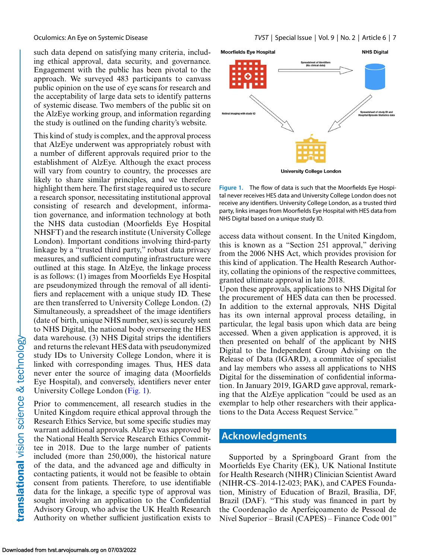such data depend on satisfying many criteria, including ethical approval, data security, and governance. Engagement with the public has been pivotal to the approach. We surveyed 483 participants to canvass public opinion on the use of eye scans for research and the acceptability of large data sets to identify patterns of systemic disease. Two members of the public sit on the AlzEye working group, and information regarding the study is outlined on the funding charity's website.

This kind of study is complex, and the approval process that AlzEye underwent was appropriately robust with a number of different approvals required prior to the establishment of AlzEye. Although the exact process will vary from country to country, the processes are likely to share similar principles, and we therefore highlight them here. The first stage required us to secure a research sponsor, necessitating institutional approval consisting of research and development, information governance, and information technology at both the NHS data custodian (Moorfields Eye Hospital NHSFT) and the research institute (University College London). Important conditions involving third-party linkage by a "trusted third party," robust data privacy measures, and sufficient computing infrastructure were outlined at this stage. In AlzEye, the linkage process is as follows: (1) images from Moorfields Eye Hospital are pseudonymized through the removal of all identifiers and replacement with a unique study ID. These are then transferred to University College London. (2) Simultaneously, a spreadsheet of the image identifiers (date of birth, unique NHS number, sex) is securely sent to NHS Digital, the national body overseeing the HES data warehouse. (3) NHS Digital strips the identifiers and returns the relevant HES data with pseudonymized study IDs to University College London, where it is linked with corresponding images. Thus, HES data never enter the source of imaging data (Moorfields Eye Hospital), and conversely, identifiers never enter University College London (Fig. 1).

Prior to commencement, all research studies in the United Kingdom require ethical approval through the Research Ethics Service, but some specific studies may warrant additional approvals. AlzEye was approved by the National Health Service Research Ethics Committee in 2018. Due to the large number of patients included (more than 250,000), the historical nature of the data, and the advanced age and difficulty in contacting patients, it would not be feasible to obtain consent from patients. Therefore, to use identifiable data for the linkage, a specific type of approval was sought involving an application to the Confidential Advisory Group, who advise the UK Health Research Authority on whether sufficient justification exists to



**Figure 1.** The flow of data is such that the Moorfields Eye Hospital never receives HES data and University College London does not receive any identifiers. University College London, as a trusted third party, links images from Moorfields Eye Hospital with HES data from NHS Digital based on a unique study ID.

access data without consent. In the United Kingdom, this is known as a "Section 251 approval," deriving from the 2006 NHS Act, which provides provision for this kind of application. The Health Research Authority, collating the opinions of the respective committees, granted ultimate approval in late 2018.

Upon these approvals, applications to NHS Digital for the procurement of HES data can then be processed. In addition to the external approvals, NHS Digital has its own internal approval process detailing, in particular, the legal basis upon which data are being accessed. When a given application is approved, it is then presented on behalf of the applicant by NHS Digital to the Independent Group Advising on the Release of Data (IGARD), a committee of specialist and lay members who assess all applications to NHS Digital for the dissemination of confidential information. In January 2019, IGARD gave approval, remarking that the AlzEye application "could be used as an exemplar to help other researchers with their applications to the Data Access Request Service."

### **Acknowledgments**

Supported by a Springboard Grant from the Moorfields Eye Charity (EK), UK National Institute for Health Research (NIHR) Clinician Scientist Award (NIHR-CS–2014-12-023; PAK), and CAPES Foundation, Ministry of Education of Brazil, Brasília, DF, Brazil (DAF). "This study was financed in part by the Coordenação de Aperfeiçoamento de Pessoal de Nível Superior – Brasil (CAPES) – Finance Code 001"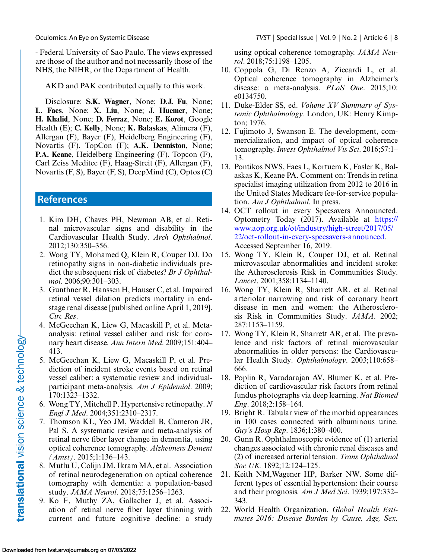- Federal University of Sao Paulo. The views expressed are those of the author and not necessarily those of the NHS, the NIHR, or the Department of Health.

AKD and PAK contributed equally to this work.

Disclosure: **S.K. Wagner**, None; **D.J. Fu**, None; **L. Faes**, None; **X. Liu**, None; **J. Huemer**, None; **H. Khalid**, None; **D. Ferraz**, None; **E. Korot**, Google Health (E); **C. Kelly**, None; **K. Balaskas**, Alimera (F), Allergan (F), Bayer (F), Heidelberg Engineering (F), Novartis (F), TopCon (F); **A.K. Denniston**, None; **P.A. Keane**, Heidelberg Engineering (F), Topcon (F), Carl Zeiss Meditec (F), Haag-Streit (F), Allergan (F), Novartis (F, S), Bayer (F, S), DeepMind (C), Optos (C)

### **References**

- 1. Kim DH, Chaves PH, Newman AB, et al. Retinal microvascular signs and disability in the Cardiovascular Health Study. *Arch Ophthalmol*. 2012;130:350–356.
- 2. Wong TY, Mohamed Q, Klein R, Couper DJ. Do retinopathy signs in non-diabetic individuals predict the subsequent risk of diabetes? *Br J Ophthalmol*. 2006;90:301–303.
- 3. Gunthner R, Hanssen H, Hauser C, et al. Impaired retinal vessel dilation predicts mortality in endstage renal disease [published online April 1, 2019]. *Circ Res*.
- 4. McGeechan K, Liew G, Macaskill P, et al. Metaanalysis: retinal vessel caliber and risk for coronary heart disease. *Ann Intern Med*. 2009;151:404– 413.
- 5. McGeechan K, Liew G, Macaskill P, et al. Prediction of incident stroke events based on retinal vessel caliber: a systematic review and individualparticipant meta-analysis. *Am J Epidemiol*. 2009; 170:1323–1332.
- 6. Wong TY, Mitchell P. Hypertensive retinopathy. *N Engl J Med*. 2004;351:2310–2317.
- 7. Thomson KL, Yeo JM, Waddell B, Cameron JR, Pal S. A systematic review and meta-analysis of retinal nerve fiber layer change in dementia, using optical coherence tomography. *Alzheimers Dement (Amst)*. 2015;1:136–143.
- 8. Mutlu U, Colijn JM, Ikram MA, et al. Association of retinal neurodegeneration on optical coherence tomography with dementia: a population-based study. *JAMA Neurol*. 2018;75:1256–1263.
- 9. Ko F, Muthy ZA, Gallacher J, et al. Association of retinal nerve fiber layer thinning with current and future cognitive decline: a study

<span id="page-7-0"></span>Oculomics: An Eye on Systemic Disease *TVST* | Special Issue | Vol. 9 | No. 2 | Article 6 | 8

using optical coherence tomography. *JAMA Neurol*. 2018;75:1198–1205.

- 10. Coppola G, Di Renzo A, Ziccardi L, et al. Optical coherence tomography in Alzheimer's disease: a meta-analysis. *PLoS One*. 2015;10: e0134750.
- 11. Duke-Elder SS, ed. *Volume XV Summary of Systemic Ophthalmology*. London, UK: Henry Kimpton; 1976.
- 12. Fujimoto J, Swanson E. The development, commercialization, and impact of optical coherence tomography. *Invest Ophthalmol Vis Sci*. 2016;57:1– 13.
- 13. Pontikos NWS, Faes L, Kortuem K, Fasler K, Balaskas K, Keane PA. Comment on: Trends in retina specialist imaging utilization from 2012 to 2016 in the United States Medicare fee-for-service population. *Am J Ophthalmol*. In press.
- 14. OCT rollout in every Specsavers Announcted. Optometry Today (2017). Available at https:// [www.aop.org.uk/ot/industry/high-street/2017/05/](https://www.aop.org.uk/ot/industry/high-street/2017/05/22/oct-rollout-in-every-specsavers-announced) 22/oct-rollout-in-every-specsavers-announced. Accessed September 16, 2019.
- 15. Wong TY, Klein R, Couper DJ, et al. Retinal microvascular abnormalities and incident stroke: the Atherosclerosis Risk in Communities Study. *Lancet*. 2001;358:1134–1140.
- 16. Wong TY, Klein R, Sharrett AR, et al. Retinal arteriolar narrowing and risk of coronary heart disease in men and women: the Atherosclerosis Risk in Communities Study. *JAMA*. 2002; 287:1153–1159.
- 17. Wong TY, Klein R, Sharrett AR, et al. The prevalence and risk factors of retinal microvascular abnormalities in older persons: the Cardiovascular Health Study. *Ophthalmology*. 2003;110:658– 666.
- 18. Poplin R, Varadarajan AV, Blumer K, et al. Prediction of cardiovascular risk factors from retinal fundus photographs via deep learning. *Nat Biomed Eng*. 2018;2:158–164.
- 19. Bright R. Tabular view of the morbid appearances in 100 cases connected with albuminous urine. *Guy's Hosp Rep*. 1836;1:380–400.
- 20. Gunn R. Ophthalmoscopic evidence of (1) arterial changes associated with chronic renal diseases and (2) of increased arterial tension. *Trans Ophthalmol Soc UK.* 1892;12:124–125.
- 21. Keith NM,Wagener HP, Barker NW. Some different types of essential hypertension: their course and their prognosis. *Am J Med Sci*. 1939;197:332– 343.
- 22. World Health Organization. *Global Health Estimates 2016: Disease Burden by Cause, Age, Sex,*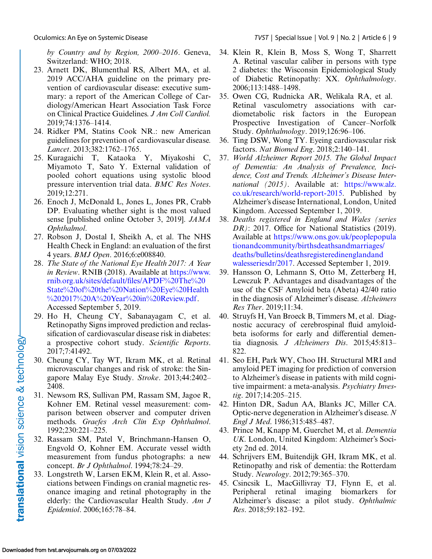- <span id="page-8-0"></span>23. Arnett DK, Blumenthal RS, Albert MA, et al. 2019 ACC/AHA guideline on the primary prevention of cardiovascular disease: executive summary: a report of the American College of Cardiology/American Heart Association Task Force on Clinical Practice Guidelines. *J Am Coll Cardiol.* 2019;74:1376–1414.
- 24. Ridker PM, Statins Cook NR.: new American guidelines for prevention of cardiovascular disease. *Lancet*. 2013;382:1762–1765.
- 25. Kuragaichi T, Kataoka Y, Miyakoshi C, Miyamoto T, Sato Y. External validation of pooled cohort equations using systolic blood pressure intervention trial data. *BMC Res Notes*. 2019;12:271.
- 26. Enoch J, McDonald L, Jones L, Jones PR, Crabb DP. Evaluating whether sight is the most valued sense [published online October 3, 2019]. *JAMA Ophthalmol*.
- 27. Robson J, Dostal I, Sheikh A, et al. The NHS Health Check in England: an evaluation of the first 4 years. *BMJ Open*. 2016;6:e008840.
- 28. *The State of the National Eye Health 2017: A Year in Review*. RNIB (2018). Available at https://www. rnib.org.uk/sites/default/files/APDF%20The%20 [State%20of%20the%20Nation%20Eye%20Health](https://www.rnib.org.uk/sites/default/files/APDF%20The%20State%20of%20the%20Nation%20Eye%20Health%202017%20A%20Year%20in%20Review.pdf) %202017%20A%20Year%20in%20Review.pdf. Accessed September 5, 2019.
- 29. Ho H, Cheung CY, Sabanayagam C, et al. Retinopathy Signs improved prediction and reclassification of cardiovascular disease risk in diabetes: a prospective cohort study. *Scientific Reports*. 2017;7:41492.
- 30. Cheung CY, Tay WT, Ikram MK, et al. Retinal microvascular changes and risk of stroke: the Singapore Malay Eye Study. *Stroke*. 2013;44:2402– 2408.
- 31. Newsom RS, Sullivan PM, Rassam SM, Jagoe R, Kohner EM. Retinal vessel measurement: comparison between observer and computer driven methods. *Graefes Arch Clin Exp Ophthalmol*. 1992;230:221–225.
- 32. Rassam SM, Patel V, Brinchmann-Hansen O, Engvold O, Kohner EM. Accurate vessel width measurement from fundus photographs: a new concept. *Br J Ophthalmol*. 1994;78:24–29.
- 33. Longstreth W, Larsen EKM, Klein R, et al. Associations between Findings on cranial magnetic resonance imaging and retinal photography in the elderly: the Cardiovascular Health Study. *Am J Epidemiol*. 2006;165:78–84.
- 
- 34. Klein R, Klein B, Moss S, Wong T, Sharrett A. Retinal vascular caliber in persons with type 2 diabetes: the Wisconsin Epidemiological Study of Diabetic Retinopathy: XX. *Ophthalmology*. 2006;113:1488–1498.
- 35. Owen CG, Rudnicka AR, Welikala RA, et al. Retinal vasculometry associations with cardiometabolic risk factors in the European Prospective Investigation of Cancer–Norfolk Study. *Ophthalmology*. 2019;126:96–106.
- 36. Ting DSW, Wong TY. Eyeing cardiovascular risk factors. *Nat Biomed Eng*. 2018;2:140–141.
- 37. *World Alzheimer Report 2015. The Global Impact of Dementia: An Analysis of Prevalence, Incidence, Cost and Trends. Alzheimer's Disease International (2015)*. Available at: https://www.alz. [co.uk/research/world-report-2015. Published by](https://www.alz.co.uk/research/world-report-2015) Alzheimer's disease International, London, United Kingdom. Accessed September 1, 2019.
- 38. *Deaths registered in England and Wales (series DR*): 2017. Office for National Statistics (2019). Available at https://www.ons.gov.uk/peoplepopula tionandcommunity/birthsdeathsandmarriages/ deaths/bulletins/deathsregisteredinenglandand [walesseriesdr/2017. Accessed September 1, 2019.](https://www.ons.gov.uk/peoplepopulationandcommunity/birthsdeathsandmarriages/deaths/bulletins/deathsregisteredinenglandandwalesseriesdr/2017)
- 39. Hansson O, Lehmann S, Otto M, Zetterberg H, Lewczuk P. Advantages and disadvantages of the use of the CSF Amyloid beta (Abeta) 42/40 ratio in the diagnosis of Alzheimer's disease. *Alzheimers Res Ther*. 2019;11:34.
- 40. Struyfs H, Van Broeck B, Timmers M, et al. Diagnostic accuracy of cerebrospinal fluid amyloidbeta isoforms for early and differential dementia diagnosis. *J Alzheimers Dis*. 2015;45:813– 822.
- 41. Seo EH, Park WY, Choo IH. Structural MRI and amyloid PET imaging for prediction of conversion to Alzheimer's disease in patients with mild cognitive impairment: a meta-analysis. *Psychiatry Investig*. 2017;14:205–215.
- 42. Hinton DR, Sadun AA, Blanks JC, Miller CA. Optic-nerve degeneration in Alzheimer's disease. *N Engl J Med*. 1986;315:485–487.
- 43. Prince M, Knapp M, Guerchet M, et al. *Dementia UK*. London, United Kingdom: Alzheimer's Society 2nd ed. 2014.
- 44. Schrijvers EM, Buitendijk GH, Ikram MK, et al. Retinopathy and risk of dementia: the Rotterdam Study. *Neurology*. 2012;79:365–370.
- 45. Csincsik L, MacGillivray TJ, Flynn E, et al. Peripheral retinal imaging biomarkers for Alzheimer's disease: a pilot study. *Ophthalmic Res*. 2018;59:182–192.